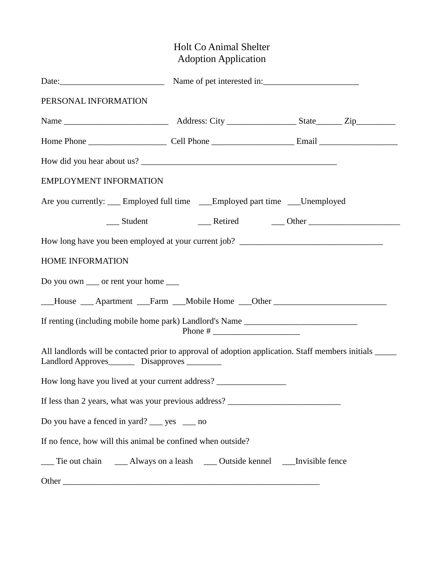# Holt Co Animal Shelter Adoption Application

| PERSONAL INFORMATION                                                                                                                                   |                                                                                    |  |  |  |  |
|--------------------------------------------------------------------------------------------------------------------------------------------------------|------------------------------------------------------------------------------------|--|--|--|--|
|                                                                                                                                                        |                                                                                    |  |  |  |  |
|                                                                                                                                                        |                                                                                    |  |  |  |  |
|                                                                                                                                                        |                                                                                    |  |  |  |  |
| <b>EMPLOYMENT INFORMATION</b>                                                                                                                          |                                                                                    |  |  |  |  |
|                                                                                                                                                        | Are you currently: ____ Employed full time ____ Employed part time ____ Unemployed |  |  |  |  |
|                                                                                                                                                        |                                                                                    |  |  |  |  |
|                                                                                                                                                        | How long have you been employed at your current job? ____________________________  |  |  |  |  |
| HOME INFORMATION                                                                                                                                       |                                                                                    |  |  |  |  |
| Do you own ____ or rent your home ____                                                                                                                 |                                                                                    |  |  |  |  |
|                                                                                                                                                        | __House __ Apartment __Farm __Mobile Home __Other ______________________________   |  |  |  |  |
| If renting (including mobile home park) Landlord's Name ________________________                                                                       |                                                                                    |  |  |  |  |
| All landlords will be contacted prior to approval of adoption application. Staff members initials<br>Landlord Approves__________ Disapproves _________ |                                                                                    |  |  |  |  |
| How long have you lived at your current address? ________________________________                                                                      |                                                                                    |  |  |  |  |
| If less than 2 years, what was your previous address? ___________________________                                                                      |                                                                                    |  |  |  |  |
| Do you have a fenced in yard? _____ yes ______ no                                                                                                      |                                                                                    |  |  |  |  |
| If no fence, how will this animal be confined when outside?                                                                                            |                                                                                    |  |  |  |  |
|                                                                                                                                                        |                                                                                    |  |  |  |  |
|                                                                                                                                                        |                                                                                    |  |  |  |  |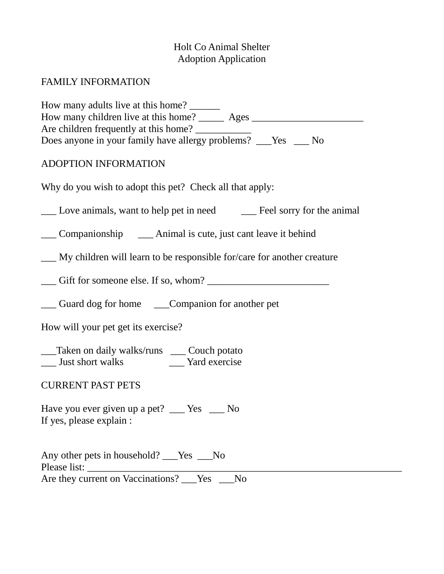# Holt Co Animal Shelter Adoption Application

# FAMILY INFORMATION

| How many adults live at this home?<br>How many children live at this home? _______ Ages ______________________________<br>Are children frequently at this home?<br>Does anyone in your family have allergy problems? __Yes __ No |  |  |  |  |
|----------------------------------------------------------------------------------------------------------------------------------------------------------------------------------------------------------------------------------|--|--|--|--|
| ADOPTION INFORMATION                                                                                                                                                                                                             |  |  |  |  |
| Why do you wish to adopt this pet? Check all that apply:                                                                                                                                                                         |  |  |  |  |
| Love animals, want to help pet in need Feel sorry for the animal                                                                                                                                                                 |  |  |  |  |
| ___ Companionship ______ Animal is cute, just cant leave it behind                                                                                                                                                               |  |  |  |  |
| <u>I</u> My children will learn to be responsible for/care for another creature                                                                                                                                                  |  |  |  |  |
|                                                                                                                                                                                                                                  |  |  |  |  |
| __ Guard dog for home ____Companion for another pet                                                                                                                                                                              |  |  |  |  |
| How will your pet get its exercise?                                                                                                                                                                                              |  |  |  |  |
| __Taken on daily walks/runs ___ Couch potato<br>__ Just short walks ______ Yard exercise                                                                                                                                         |  |  |  |  |
| <b>CURRENT PAST PETS</b>                                                                                                                                                                                                         |  |  |  |  |
| Have you ever given up a pet? __ Yes _ No<br>If yes, please explain :                                                                                                                                                            |  |  |  |  |
| Any other pets in household? ___Yes __No<br>Are they current on Vaccinations? ___ Yes<br>N <sub>o</sub>                                                                                                                          |  |  |  |  |
|                                                                                                                                                                                                                                  |  |  |  |  |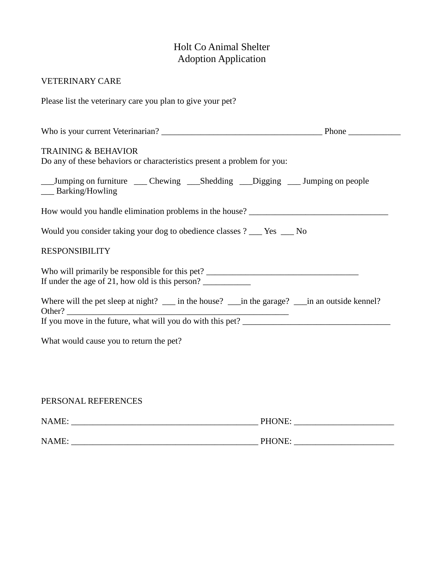## Holt Co Animal Shelter Adoption Application

#### VETERINARY CARE

Please list the veterinary care you plan to give your pet?

| <b>TRAINING &amp; BEHAVIOR</b><br>Do any of these behaviors or characteristics present a problem for you: |  |
|-----------------------------------------------------------------------------------------------------------|--|
| __Jumping on furniture ___ Chewing ___Shedding ___Digging ___ Jumping on people<br>___ Barking/Howling    |  |
| How would you handle elimination problems in the house? _________________________                         |  |
| Would you consider taking your dog to obedience classes ? ___ Yes ___ No                                  |  |
| <b>RESPONSIBILITY</b>                                                                                     |  |
| If under the age of 21, how old is this person?                                                           |  |
| Where will the pet sleep at night? __ in the house? __ in the garage? __ in an outside kennel?            |  |
|                                                                                                           |  |
| What would cause you to return the pet?                                                                   |  |
|                                                                                                           |  |
|                                                                                                           |  |
|                                                                                                           |  |

## PERSONAL REFERENCES

| NAME: | PHONE: |
|-------|--------|
|       |        |
| NAME: | PHONE: |